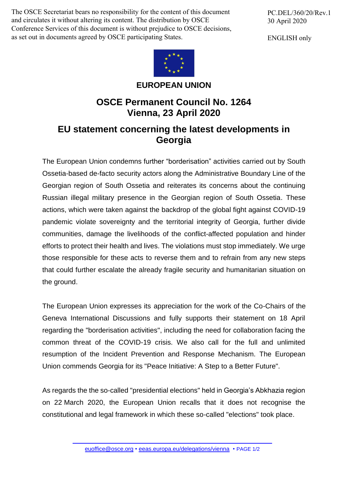The OSCE Secretariat bears no responsibility for the content of this document and circulates it without altering its content. The distribution by OSCE Conference Services of this document is without prejudice to OSCE decisions, as set out in documents agreed by OSCE participating States.

PC.DEL/360/20/Rev.1 30 April 2020

ENGLISH only



## **EUROPEAN UNION**

## **OSCE Permanent Council No. 1264 Vienna, 23 April 2020**

## **EU statement concerning the latest developments in Georgia**

The European Union condemns further "borderisation" activities carried out by South Ossetia-based de-facto security actors along the Administrative Boundary Line of the Georgian region of South Ossetia and reiterates its concerns about the continuing Russian illegal military presence in the Georgian region of South Ossetia. These actions, which were taken against the backdrop of the global fight against COVID-19 pandemic violate sovereignty and the territorial integrity of Georgia, further divide communities, damage the livelihoods of the conflict-affected population and hinder efforts to protect their health and lives. The violations must stop immediately. We urge those responsible for these acts to reverse them and to refrain from any new steps that could further escalate the already fragile security and humanitarian situation on the ground.

The European Union expresses its appreciation for the work of the Co-Chairs of the Geneva International Discussions and fully supports their statement on 18 April regarding the "borderisation activities", including the need for collaboration facing the common threat of the COVID-19 crisis. We also call for the full and unlimited resumption of the Incident Prevention and Response Mechanism. The European Union commends Georgia for its "Peace Initiative: A Step to a Better Future".

As regards the the so-called "presidential elections" held in Georgia's Abkhazia region on 22 March 2020, the European Union recalls that it does not recognise the constitutional and legal framework in which these so-called "elections" took place.

[euoffice@osce.org](mailto:euoffice@osce.org) • [eeas.europa.eu/delegations/vienna](http://eeas.europa.eu/delegations/vienna) • PAGE 1/2